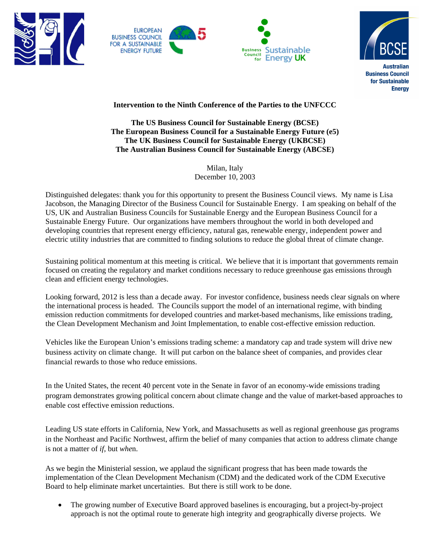







## **Intervention to the Ninth Conference of the Parties to the UNFCCC**

## **The US Business Council for Sustainable Energy (BCSE) The European Business Council for a Sustainable Energy Future (e5) The UK Business Council for Sustainable Energy (UKBCSE) The Australian Business Council for Sustainable Energy (ABCSE)**

Milan, Italy December 10, 2003

Distinguished delegates: thank you for this opportunity to present the Business Council views. My name is Lisa Jacobson, the Managing Director of the Business Council for Sustainable Energy. I am speaking on behalf of the US, UK and Australian Business Councils for Sustainable Energy and the European Business Council for a Sustainable Energy Future. Our organizations have members throughout the world in both developed and developing countries that represent energy efficiency, natural gas, renewable energy, independent power and electric utility industries that are committed to finding solutions to reduce the global threat of climate change.

Sustaining political momentum at this meeting is critical. We believe that it is important that governments remain focused on creating the regulatory and market conditions necessary to reduce greenhouse gas emissions through clean and efficient energy technologies.

Looking forward, 2012 is less than a decade away. For investor confidence, business needs clear signals on where the international process is headed. The Councils support the model of an international regime, with binding emission reduction commitments for developed countries and market-based mechanisms, like emissions trading, the Clean Development Mechanism and Joint Implementation, to enable cost-effective emission reduction.

Vehicles like the European Union's emissions trading scheme: a mandatory cap and trade system will drive new business activity on climate change. It will put carbon on the balance sheet of companies, and provides clear financial rewards to those who reduce emissions.

In the United States, the recent 40 percent vote in the Senate in favor of an economy-wide emissions trading program demonstrates growing political concern about climate change and the value of market-based approaches to enable cost effective emission reductions.

Leading US state efforts in California, New York, and Massachusetts as well as regional greenhouse gas programs in the Northeast and Pacific Northwest, affirm the belief of many companies that action to address climate change is not a matter of *if*, but *whe*n.

As we begin the Ministerial session, we applaud the significant progress that has been made towards the implementation of the Clean Development Mechanism (CDM) and the dedicated work of the CDM Executive Board to help eliminate market uncertainties. But there is still work to be done.

• The growing number of Executive Board approved baselines is encouraging, but a project-by-project approach is not the optimal route to generate high integrity and geographically diverse projects. We